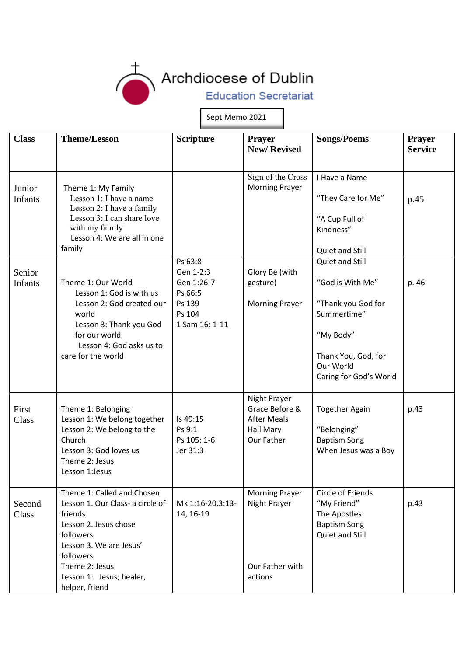

Sept Memo 2021

| <b>Class</b>             | <b>Theme/Lesson</b>                                                                                                                                                                                                     | <b>Scripture</b>                                                                    | <b>Prayer</b><br><b>New/Revised</b>                                             | <b>Songs/Poems</b>                                                                                                                                  | <b>Prayer</b><br><b>Service</b> |
|--------------------------|-------------------------------------------------------------------------------------------------------------------------------------------------------------------------------------------------------------------------|-------------------------------------------------------------------------------------|---------------------------------------------------------------------------------|-----------------------------------------------------------------------------------------------------------------------------------------------------|---------------------------------|
| Junior<br><b>Infants</b> | Theme 1: My Family<br>Lesson 1: I have a name<br>Lesson 2: I have a family<br>Lesson 3: I can share love<br>with my family<br>Lesson 4: We are all in one<br>family                                                     |                                                                                     | Sign of the Cross<br><b>Morning Prayer</b>                                      | I Have a Name<br>"They Care for Me"<br>"A Cup Full of<br>Kindness"<br>Quiet and Still                                                               | p.45                            |
| Senior<br><b>Infants</b> | Theme 1: Our World<br>Lesson 1: God is with us<br>Lesson 2: God created our<br>world<br>Lesson 3: Thank you God<br>for our world<br>Lesson 4: God asks us to<br>care for the world                                      | Ps 63:8<br>Gen 1-2:3<br>Gen 1:26-7<br>Ps 66:5<br>Ps 139<br>Ps 104<br>1 Sam 16: 1-11 | Glory Be (with<br>gesture)<br><b>Morning Prayer</b>                             | Quiet and Still<br>"God is With Me"<br>"Thank you God for<br>Summertime"<br>"My Body"<br>Thank You, God, for<br>Our World<br>Caring for God's World | p. 46                           |
| First<br>Class           | Theme 1: Belonging<br>Lesson 1: We belong together<br>Lesson 2: We belong to the<br>Church<br>Lesson 3: God loves us<br>Theme 2: Jesus<br>Lesson 1:Jesus                                                                | Is 49:15<br>Ps 9:1<br>Ps 105: 1-6<br>Jer 31:3                                       | Night Prayer<br>Grace Before &<br><b>After Meals</b><br>Hail Mary<br>Our Father | <b>Together Again</b><br>"Belonging"<br><b>Baptism Song</b><br>When Jesus was a Boy                                                                 | p.43                            |
| Second<br>Class          | Theme 1: Called and Chosen<br>Lesson 1. Our Class- a circle of<br>friends<br>Lesson 2. Jesus chose<br>followers<br>Lesson 3. We are Jesus'<br>followers<br>Theme 2: Jesus<br>Lesson 1: Jesus; healer,<br>helper, friend | Mk 1:16-20.3:13-<br>14, 16-19                                                       | <b>Morning Prayer</b><br>Night Prayer<br>Our Father with<br>actions             | Circle of Friends<br>"My Friend"<br>The Apostles<br><b>Baptism Song</b><br><b>Quiet and Still</b>                                                   | p.43                            |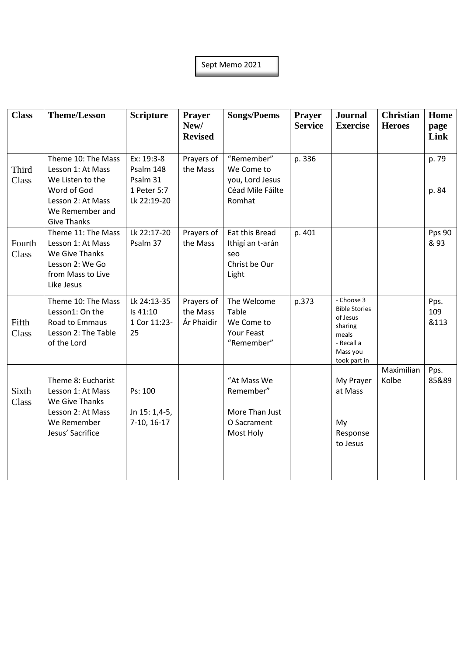## Sept Memo 2021

| <b>Class</b>    | <b>Theme/Lesson</b>                                                                                                                      | <b>Scripture</b>                                                  | <b>Prayer</b><br>New/<br><b>Revised</b> | <b>Songs/Poems</b>                                                        | <b>Prayer</b><br><b>Service</b> | <b>Journal</b><br><b>Exercise</b>                                                                            | <b>Christian</b><br><b>Heroes</b> | Home<br>page<br>Link  |
|-----------------|------------------------------------------------------------------------------------------------------------------------------------------|-------------------------------------------------------------------|-----------------------------------------|---------------------------------------------------------------------------|---------------------------------|--------------------------------------------------------------------------------------------------------------|-----------------------------------|-----------------------|
| Third<br>Class  | Theme 10: The Mass<br>Lesson 1: At Mass<br>We Listen to the<br>Word of God<br>Lesson 2: At Mass<br>We Remember and<br><b>Give Thanks</b> | Ex: 19:3-8<br>Psalm 148<br>Psalm 31<br>1 Peter 5:7<br>Lk 22:19-20 | Prayers of<br>the Mass                  | "Remember"<br>We Come to<br>you, Lord Jesus<br>Céad Míle Fáilte<br>Romhat | p. 336                          |                                                                                                              |                                   | p. 79<br>p. 84        |
| Fourth<br>Class | Theme 11: The Mass<br>Lesson 1: At Mass<br>We Give Thanks<br>Lesson 2: We Go<br>from Mass to Live<br>Like Jesus                          | Lk 22:17-20<br>Psalm 37                                           | Prayers of<br>the Mass                  | Eat this Bread<br>Ithigí an t-arán<br>seo<br>Christ be Our<br>Light       | p. 401                          |                                                                                                              |                                   | <b>Pps 90</b><br>& 93 |
| Fifth<br>Class  | Theme 10: The Mass<br>Lesson1: On the<br>Road to Emmaus<br>Lesson 2: The Table<br>of the Lord                                            | Lk 24:13-35<br>Is 41:10<br>1 Cor 11:23-<br>25                     | Prayers of<br>the Mass<br>Ár Phaidir    | The Welcome<br>Table<br>We Come to<br>Your Feast<br>"Remember"            | p.373                           | - Choose 3<br><b>Bible Stories</b><br>of Jesus<br>sharing<br>meals<br>- Recall a<br>Mass you<br>took part in |                                   | Pps.<br>109<br>&113   |
| Sixth<br>Class  | Theme 8: Eucharist<br>Lesson 1: At Mass<br>We Give Thanks<br>Lesson 2: At Mass<br>We Remember<br>Jesus' Sacrifice                        | Ps: 100<br>Jn 15: 1,4-5,<br>7-10, 16-17                           |                                         | "At Mass We<br>Remember"<br>More Than Just<br>O Sacrament<br>Most Holy    |                                 | My Prayer<br>at Mass<br>My<br>Response<br>to Jesus                                                           | Maximilian<br>Kolbe               | Pps.<br>85&89         |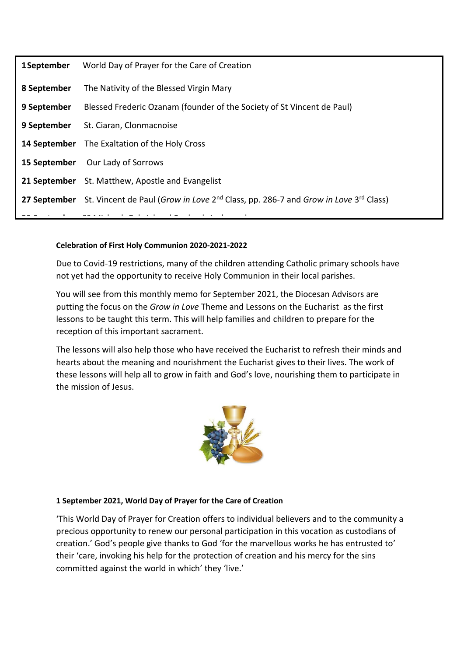| 1September   | World Day of Prayer for the Care of Creation                                                               |  |  |
|--------------|------------------------------------------------------------------------------------------------------------|--|--|
| 8 September  | The Nativity of the Blessed Virgin Mary                                                                    |  |  |
| 9 September  | Blessed Frederic Ozanam (founder of the Society of St Vincent de Paul)                                     |  |  |
| 9 September  | St. Ciaran, Clonmacnoise                                                                                   |  |  |
|              | <b>14 September</b> The Exaltation of the Holy Cross                                                       |  |  |
| 15 September | Our Lady of Sorrows                                                                                        |  |  |
| 21 September | St. Matthew, Apostle and Evangelist                                                                        |  |  |
| 27 September | St. Vincent de Paul (Grow in Love 2 <sup>nd</sup> Class, pp. 286-7 and Grow in Love 3 <sup>rd</sup> Class) |  |  |
|              |                                                                                                            |  |  |

## **Celebration of First Holy Communion 2020-2021-2022**

Due to Covid-19 restrictions, many of the children attending Catholic primary schools have not yet had the opportunity to receive Holy Communion in their local parishes.

You will see from this monthly memo for September 2021, the Diocesan Advisors are putting the focus on the *Grow in Love* Theme and Lessons on the Eucharist as the first lessons to be taught this term. This will help families and children to prepare for the reception of this important sacrament.

The lessons will also help those who have received the Eucharist to refresh their minds and hearts about the meaning and nourishment the Eucharist gives to their lives. The work of these lessons will help all to grow in faith and God's love, nourishing them to participate in the mission of Jesus.



## **1 September 2021, World Day of Prayer for the Care of Creation**

'This World Day of Prayer for Creation offers to individual believers and to the community a precious opportunity to renew our personal participation in this vocation as custodians of creation.' God's people give thanks to God 'for the marvellous works he has entrusted to' their 'care, invoking his help for the protection of creation and his mercy for the sins committed against the world in which' they 'live.'